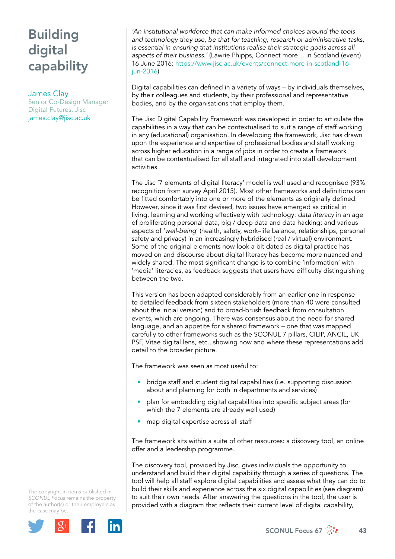# Building digital capability

### James Clay

Senior Co-Design Manager Digital Futures, Jisc [james.clay@jisc.ac.uk](mailto:james.clay@jisc.ac.uk)

*'An institutional workforce that can make informed choices around the tools and technology they use, be that for teaching, research or administrative tasks, is essential in ensuring that institutions realise their strategic goals across all aspects of their business.'* (Lawrie Phipps, Connect more… in Scotland (event) 16 June 2016: [https://www.jisc.ac.uk/events/connect-more-in-scotland-16](https://www.jisc.ac.uk/events/connect-more-in-scotland-16-jun-2016) [jun-2016\)](https://www.jisc.ac.uk/events/connect-more-in-scotland-16-jun-2016)

Digital capabilities can defined in a variety of ways – by individuals themselves, by their colleagues and students, by their professional and representative bodies, and by the organisations that employ them.

The Jisc Digital Capability Framework was developed in order to articulate the capabilities in a way that can be contextualised to suit a range of staff working in any (educational) organisation. In developing the framework, Jisc has drawn upon the experience and expertise of professional bodies and staff working across higher education in a range of jobs in order to create a framework that can be contextualised for all staff and integrated into staff development activities.

The Jisc '7 elements of digital literacy' model is well used and recognised (93% recognition from survey April 2015). Most other frameworks and definitions can be fitted comfortably into one or more of the elements as originally defined. However, since it was first devised, two issues have emerged as critical in living, learning and working effectively with technology: *data literacy* in an age of proliferating personal data, big / deep data and data hacking; and various aspects of '*well-being*' (health, safety, work–life balance, relationships, personal safety and privacy) in an increasingly hybridised (real / virtual) environment. Some of the original elements now look a bit dated as digital practice has moved on and discourse about digital literacy has become more nuanced and widely shared. The most significant change is to combine 'information' with 'media' literacies, as feedback suggests that users have difficulty distinguishing between the two.

This version has been adapted considerably from an earlier one in response to detailed feedback from sixteen stakeholders (more than 40 were consulted about the initial version) and to broad-brush feedback from consultation events, which are ongoing. There was consensus about the need for shared language, and an appetite for a shared framework – one that was mapped carefully to other frameworks such as the SCONUL 7 pillars, CILIP, ANCIL, UK PSF, Vitae digital lens, etc., showing how and where these representations add detail to the broader picture.

The framework was seen as most useful to:

- bridge staff and student digital capabilities (i.e. supporting discussion about and planning for both in departments and services)
- plan for embedding digital capabilities into specific subject areas (for which the 7 elements are already well used)
- map digital expertise across all staff

The framework sits within a suite of other resources: a discovery tool, an online offer and a leadership programme.

The discovery tool, provided by Jisc, gives individuals the opportunity to understand and build their digital capability through a series of questions. The tool will help all staff explore digital capabilities and assess what they can do to build their skills and experience across the six digital capabilities (see diagram) to suit their own needs. After answering the questions in the tool, the user is provided with a diagram that reflects their current level of digital capability,

The copyright in items published in *SCONUL Focus* remains the property of the author(s) or their employers as the case may be.

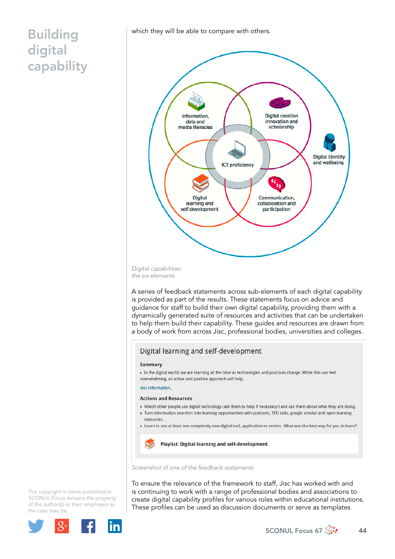### Building digital

capability

which they will be able to compare with others.



*Digital capabilities: the six elements*

A series of feedback statements across sub-elements of each digital capability is provided as part of the results. These statements focus on advice and guidance for staff to build their own digital capability, providing them with a dynamically generated suite of resources and activities that can be undertaken to help them build their capability. These guides and resources are drawn from a body of work from across Jisc, professional bodies, universities and colleges.

### Digital learning and self-development

#### Summary

. In the digital world, we are learning all the time as technologies and practices change. While this can feel overwhelming, an active and positive approach will help.

less information.

#### **Actions and Resources**

- . Watch other people use digital technology (ask them to help if necessary!) and ask them about what they are doing.
- . Turn information searches into learning opportunities with podcasts, TED talks, google scholar and open learning
- resources.
- Learn to use at least one completely new digital tool, application or service. What was the best way for you to learn?



Playlist: Digital learning and self-development

*Screenshot of one of the feedback statements* 

To ensure the relevance of the framework to staff, Jisc has worked with and is continuing to work with a range of professional bodies and associations to create digital capability profiles for various roles within educational institutions. These profiles can be used as discussion documents or serve as templates

The copyright in items published in *SCONUL Focus* remains the property of the author(s) or their employers as the case may be.

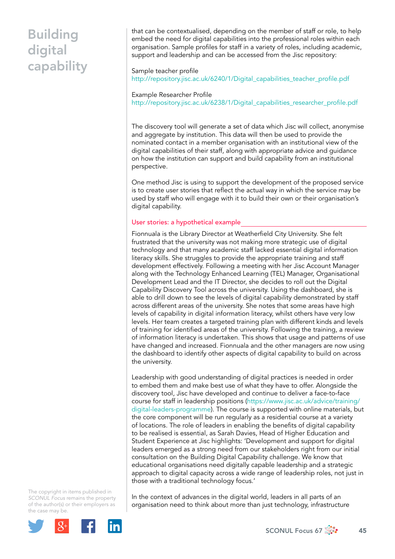## Building digital capability

that can be contextualised, depending on the member of staff or role, to help embed the need for digital capabilities into the professional roles within each organisation. Sample profiles for staff in a variety of roles, including academic, support and leadership and can be accessed from the Jisc repository:

### Sample teacher profile [http://repository.jisc.ac.uk/6240/1/Digital\\_capabilities\\_teacher\\_profile.pdf](http://repository.jisc.ac.uk/6240/1/Digital_capabilities_teacher_profile.pdf)

Example Researcher Profile [http://repository.jisc.ac.uk/6238/1/Digital\\_capabilities\\_researcher\\_profile.pdf](http://repository.jisc.ac.uk/6238/1/Digital_capabilities_researcher_profile.pdf)

The discovery tool will generate a set of data which Jisc will collect, anonymise and aggregate by institution. This data will then be used to provide the nominated contact in a member organisation with an institutional view of the digital capabilities of their staff, along with appropriate advice and guidance on how the institution can support and build capability from an institutional perspective.

One method Jisc is using to support the development of the proposed service is to create user stories that reflect the actual way in which the service may be used by staff who will engage with it to build their own or their organisation's digital capability.

#### User stories: a hypothetical example

Fionnuala is the Library Director at Weatherfield City University. She felt frustrated that the university was not making more strategic use of digital technology and that many academic staff lacked essential digital information literacy skills. She struggles to provide the appropriate training and staff development effectively. Following a meeting with her Jisc Account Manager along with the Technology Enhanced Learning (TEL) Manager, Organisational Development Lead and the IT Director, she decides to roll out the Digital Capability Discovery Tool across the university. Using the dashboard, she is able to drill down to see the levels of digital capability demonstrated by staff across different areas of the university. She notes that some areas have high levels of capability in digital information literacy, whilst others have very low levels. Her team creates a targeted training plan with different kinds and levels of training for identified areas of the university. Following the training, a review of information literacy is undertaken. This shows that usage and patterns of use have changed and increased. Fionnuala and the other managers are now using the dashboard to identify other aspects of digital capability to build on across the university.

Leadership with good understanding of digital practices is needed in order to embed them and make best use of what they have to offer. Alongside the discovery tool, Jisc have developed and continue to deliver a face-to-face course for staff in leadership positions [\(https://www.jisc.ac.uk/advice/training/](https://www.jisc.ac.uk/advice/training/digital-leaders-programme) [digital-leaders-programme\)](https://www.jisc.ac.uk/advice/training/digital-leaders-programme). The course is supported with online materials, but the core component will be run regularly as a residential course at a variety of locations. The role of leaders in enabling the benefits of digital capability to be realised is essential, as Sarah Davies, Head of Higher Education and Student Experience at Jisc highlights: 'Development and support for digital leaders emerged as a strong need from our stakeholders right from our initial consultation on the Building Digital Capability challenge. We know that educational organisations need digitally capable leadership and a strategic approach to digital capacity across a wide range of leadership roles, not just in those with a traditional technology focus.'

The copyright in items published in *SCONUL Focus* remains the property of the author(s) or their employers as the case may be.



In the context of advances in the digital world, leaders in all parts of an organisation need to think about more than just technology, infrastructure